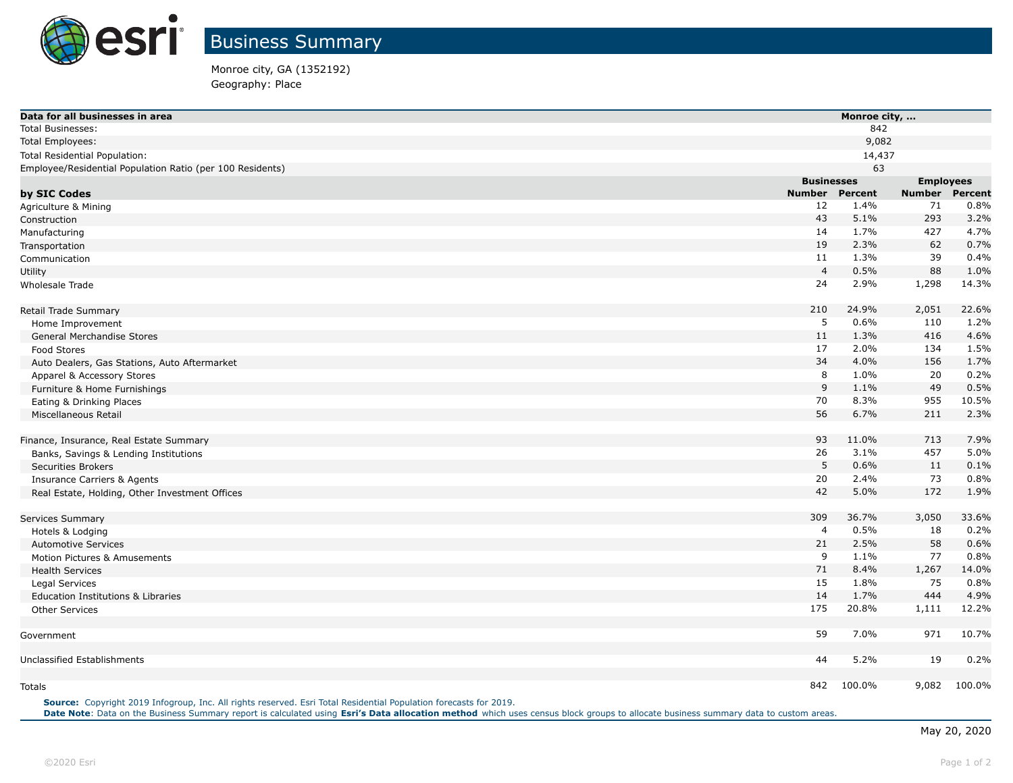

Business Summary

Monroe city, GA (1352192) Geography: Place

| Data for all businesses in area                           |                   | Monroe city, |                  |         |  |
|-----------------------------------------------------------|-------------------|--------------|------------------|---------|--|
| <b>Total Businesses:</b>                                  |                   | 842          |                  |         |  |
| <b>Total Employees:</b>                                   |                   | 9,082        |                  |         |  |
| Total Residential Population:                             |                   | 14,437       |                  |         |  |
| Employee/Residential Population Ratio (per 100 Residents) |                   | 63           |                  |         |  |
|                                                           | <b>Businesses</b> |              | <b>Employees</b> |         |  |
| by SIC Codes                                              | <b>Number</b>     | Percent      | <b>Number</b>    | Percent |  |
| Agriculture & Mining                                      | 12                | 1.4%         | 71               | 0.8%    |  |
| Construction                                              | 43                | 5.1%         | 293              | 3.2%    |  |
| Manufacturing                                             | 14                | 1.7%         | 427              | 4.7%    |  |
| Transportation                                            | 19                | 2.3%         | 62               | 0.7%    |  |
| Communication                                             | 11                | 1.3%         | 39               | 0.4%    |  |
| Utility                                                   | $\overline{4}$    | 0.5%         | 88               | 1.0%    |  |
| <b>Wholesale Trade</b>                                    | 24                | 2.9%         | 1,298            | 14.3%   |  |
| Retail Trade Summary                                      | 210               | 24.9%        | 2,051            | 22.6%   |  |
| Home Improvement                                          | 5                 | 0.6%         | 110              | 1.2%    |  |
| General Merchandise Stores                                | 11                | 1.3%         | 416              | 4.6%    |  |
| Food Stores                                               | 17                | 2.0%         | 134              | 1.5%    |  |
| Auto Dealers, Gas Stations, Auto Aftermarket              | 34                | 4.0%         | 156              | 1.7%    |  |
| Apparel & Accessory Stores                                | 8                 | 1.0%         | 20               | 0.2%    |  |
| Furniture & Home Furnishings                              | 9                 | 1.1%         | 49               | 0.5%    |  |
| Eating & Drinking Places                                  | 70                | 8.3%         | 955              | 10.5%   |  |
| Miscellaneous Retail                                      | 56                | 6.7%         | 211              | 2.3%    |  |
| Finance, Insurance, Real Estate Summary                   | 93                | 11.0%        | 713              | 7.9%    |  |
| Banks, Savings & Lending Institutions                     | 26                | 3.1%         | 457              | 5.0%    |  |
| <b>Securities Brokers</b>                                 | 5                 | 0.6%         | 11               | 0.1%    |  |
| <b>Insurance Carriers &amp; Agents</b>                    | 20                | 2.4%         | 73               | 0.8%    |  |
| Real Estate, Holding, Other Investment Offices            | 42                | 5.0%         | 172              | 1.9%    |  |
| Services Summary                                          | 309               | 36.7%        | 3,050            | 33.6%   |  |
| Hotels & Lodging                                          | $\overline{4}$    | 0.5%         | 18               | 0.2%    |  |
| <b>Automotive Services</b>                                | 21                | 2.5%         | 58               | 0.6%    |  |
| Motion Pictures & Amusements                              | 9                 | 1.1%         | 77               | 0.8%    |  |
| <b>Health Services</b>                                    | 71                | 8.4%         | 1,267            | 14.0%   |  |
| Legal Services                                            | 15                | 1.8%         | 75               | 0.8%    |  |
| Education Institutions & Libraries                        | 14                | 1.7%         | 444              | 4.9%    |  |
| <b>Other Services</b>                                     | 175               | 20.8%        | 1,111            | 12.2%   |  |
| Government                                                | 59                | 7.0%         | 971              | 10.7%   |  |
| Unclassified Establishments                               | 44                | 5.2%         | 19               | 0.2%    |  |
|                                                           |                   |              |                  |         |  |
| Totals                                                    | 842               | 100.0%       | 9,082            | 100.0%  |  |

**Source:** Copyright 2019 Infogroup, Inc. All rights reserved. Esri Total Residential Population forecasts for 2019. **Date Note**: Data on the Business Summary report is calculated using **[Esri's Data allocation method](http://doc.arcgis.com/en/esri-demographics/reference/data-allocation-method.htm)** which uses census block groups to allocate business summary data to custom areas.